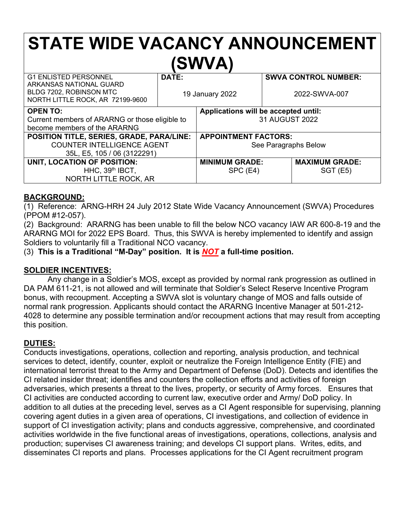# **STATE WIDE VACANCY ANNOUNCEMENT (SWVA)**

| <b>G1 ENLISTED PERSONNEL</b><br>ARKANSAS NATIONAL GUARD<br>BLDG 7202, ROBINSON MTC<br>NORTH LITTLE ROCK, AR 72199-9600                                                                                             | DATE:<br>19 January 2022 |                                                                                                               |  | <b>SWVA CONTROL NUMBER:</b><br>2022-SWVA-007 |
|--------------------------------------------------------------------------------------------------------------------------------------------------------------------------------------------------------------------|--------------------------|---------------------------------------------------------------------------------------------------------------|--|----------------------------------------------|
| <b>OPEN TO:</b><br>Current members of ARARNG or those eligible to<br>become members of the ARARNG<br>POSITION TITLE, SERIES, GRADE, PARA/LINE:<br><b>COUNTER INTELLIGENCE AGENT</b><br>35L, E5, 105 / 06 (3122291) |                          | Applications will be accepted until:<br>31 AUGUST 2022<br><b>APPOINTMENT FACTORS:</b><br>See Paragraphs Below |  |                                              |
| UNIT, LOCATION OF POSITION:<br>$HHC$ , 39 <sup>th</sup> IBCT,<br>NORTH LITTLE ROCK, AR                                                                                                                             |                          | <b>MINIMUM GRADE:</b><br>SPC (E4)                                                                             |  | <b>MAXIMUM GRADE:</b><br><b>SGT (E5)</b>     |

#### **BACKGROUND:**

(1) Reference: ARNG-HRH 24 July 2012 State Wide Vacancy Announcement (SWVA) Procedures (PPOM #12-057).

(2) Background: ARARNG has been unable to fill the below NCO vacancy IAW AR 600-8-19 and the ARARNG MOI for 2022 EPS Board. Thus, this SWVA is hereby implemented to identify and assign Soldiers to voluntarily fill a Traditional NCO vacancy.

(3) **This is a Traditional "M-Day" position. It is** *NOT* **a full-time position.**

#### **SOLDIER INCENTIVES:**

Any change in a Soldier's MOS, except as provided by normal rank progression as outlined in DA PAM 611-21, is not allowed and will terminate that Soldier's Select Reserve Incentive Program bonus, with recoupment. Accepting a SWVA slot is voluntary change of MOS and falls outside of normal rank progression. Applicants should contact the ARARNG Incentive Manager at 501-212- 4028 to determine any possible termination and/or recoupment actions that may result from accepting this position.

#### **DUTIES:**

Conducts investigations, operations, collection and reporting, analysis production, and technical services to detect, identify, counter, exploit or neutralize the Foreign Intelligence Entity (FIE) and international terrorist threat to the Army and Department of Defense (DoD). Detects and identifies the CI related insider threat; identifies and counters the collection efforts and activities of foreign adversaries, which presents a threat to the lives, property, or security of Army forces. Ensures that CI activities are conducted according to current law, executive order and Army/ DoD policy. In addition to all duties at the preceding level, serves as a CI Agent responsible for supervising, planning covering agent duties in a given area of operations, CI investigations, and collection of evidence in support of CI investigation activity; plans and conducts aggressive, comprehensive, and coordinated activities worldwide in the five functional areas of investigations, operations, collections, analysis and production; supervises CI awareness training; and develops CI support plans. Writes, edits, and disseminates CI reports and plans. Processes applications for the CI Agent recruitment program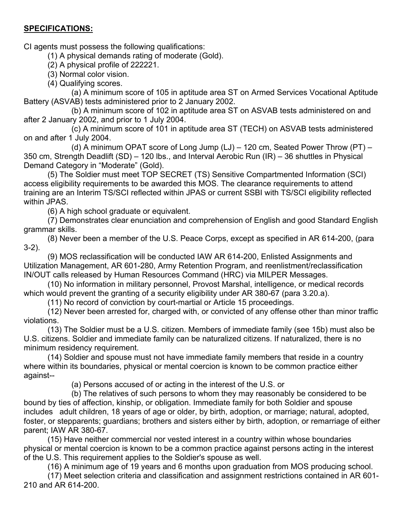#### **SPECIFICATIONS:**

CI agents must possess the following qualifications:

(1) A physical demands rating of moderate (Gold).

(2) A physical profile of 222221.

(3) Normal color vision.

(4) Qualifying scores.

(a) A minimum score of 105 in aptitude area ST on Armed Services Vocational Aptitude Battery (ASVAB) tests administered prior to 2 January 2002.

(b) A minimum score of 102 in aptitude area ST on ASVAB tests administered on and after 2 January 2002, and prior to 1 July 2004.

(c) A minimum score of 101 in aptitude area ST (TECH) on ASVAB tests administered on and after 1 July 2004.

(d) A minimum OPAT score of Long Jump (LJ) – 120 cm, Seated Power Throw (PT) – 350 cm, Strength Deadlift (SD) – 120 lbs., and Interval Aerobic Run (IR) – 36 shuttles in Physical Demand Category in "Moderate" (Gold).

(5) The Soldier must meet TOP SECRET (TS) Sensitive Compartmented Information (SCI) access eligibility requirements to be awarded this MOS. The clearance requirements to attend training are an Interim TS/SCI reflected within JPAS or current SSBI with TS/SCI eligibility reflected within JPAS.

(6) A high school graduate or equivalent.

(7) Demonstrates clear enunciation and comprehension of English and good Standard English grammar skills.

(8) Never been a member of the U.S. Peace Corps, except as specified in AR 614-200, (para 3-2).

(9) MOS reclassification will be conducted IAW AR 614-200, Enlisted Assignments and Utilization Management, AR 601-280, Army Retention Program, and reenlistment/reclassification IN/OUT calls released by Human Resources Command (HRC) via MILPER Messages.

(10) No information in military personnel, Provost Marshal, intelligence, or medical records which would prevent the granting of a security eligibility under AR 380-67 (para 3.20.a).

(11) No record of conviction by court-martial or Article 15 proceedings.

(12) Never been arrested for, charged with, or convicted of any offense other than minor traffic violations.

(13) The Soldier must be a U.S. citizen. Members of immediate family (see 15b) must also be U.S. citizens. Soldier and immediate family can be naturalized citizens. If naturalized, there is no minimum residency requirement.

(14) Soldier and spouse must not have immediate family members that reside in a country where within its boundaries, physical or mental coercion is known to be common practice either against--

(a) Persons accused of or acting in the interest of the U.S. or

(b) The relatives of such persons to whom they may reasonably be considered to be bound by ties of affection, kinship, or obligation. Immediate family for both Soldier and spouse includes adult children, 18 years of age or older, by birth, adoption, or marriage; natural, adopted, foster, or stepparents; guardians; brothers and sisters either by birth, adoption, or remarriage of either parent; IAW AR 380-67.

(15) Have neither commercial nor vested interest in a country within whose boundaries physical or mental coercion is known to be a common practice against persons acting in the interest of the U.S. This requirement applies to the Soldier's spouse as well.

(16) A minimum age of 19 years and 6 months upon graduation from MOS producing school.

(17) Meet selection criteria and classification and assignment restrictions contained in AR 601- 210 and AR 614-200.